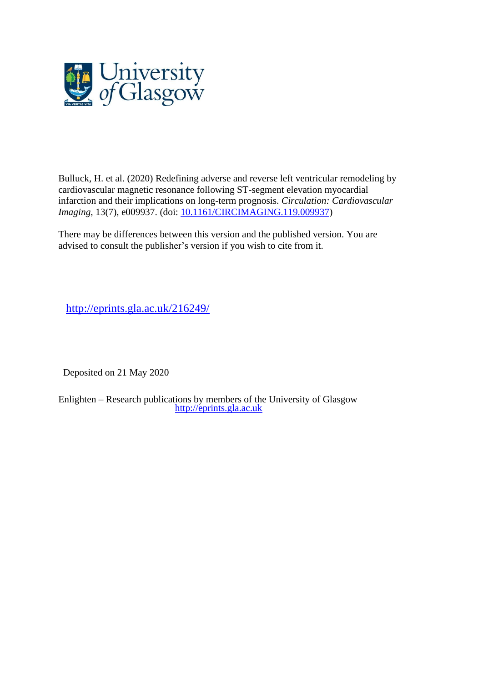

Bulluck, H. et al. (2020) Redefining adverse and reverse left ventricular remodeling by cardiovascular magnetic resonance following ST-segment elevation myocardial infarction and their implications on long-term prognosis. *Circulation: Cardiovascular Imaging*, 13(7), e009937. (doi: [10.1161/CIRCIMAGING.119.009937\)](http://dx.doi.org/10.1161/CIRCIMAGING.119.009937)

There may be differences between this version and the published version. You are advised to consult the publisher's version if you wish to cite from it.

<http://eprints.gla.ac.uk/216249/>

Deposited on 21 May 2020

Enlighten – Research publications by members of the University of Glasgow [http://eprints.gla.ac.uk](http://eprints.gla.ac.uk/)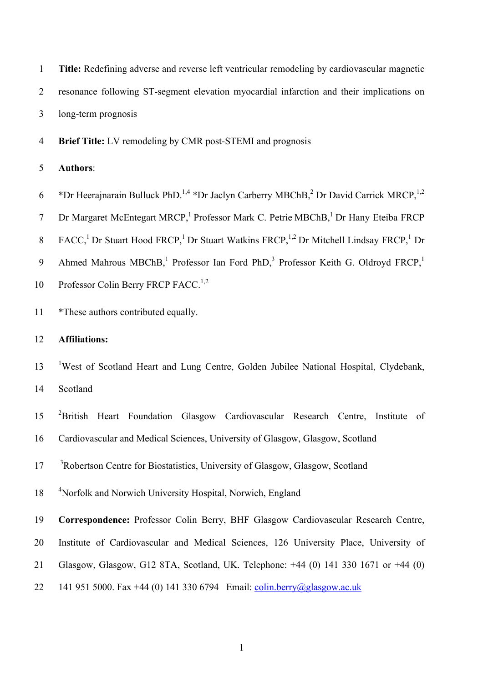| $\mathbf{1}$     | Title: Redefining adverse and reverse left ventricular remodeling by cardiovascular magnetic                                          |
|------------------|---------------------------------------------------------------------------------------------------------------------------------------|
| $\overline{2}$   | resonance following ST-segment elevation myocardial infarction and their implications on                                              |
| 3                | long-term prognosis                                                                                                                   |
| $\overline{4}$   | Brief Title: LV remodeling by CMR post-STEMI and prognosis                                                                            |
| 5                | <b>Authors:</b>                                                                                                                       |
| 6                | *Dr Heerajnarain Bulluck PhD. <sup>1,4</sup> *Dr Jaclyn Carberry MBChB, <sup>2</sup> Dr David Carrick MRCP, <sup>1,2</sup>            |
| $\tau$           | Dr Margaret McEntegart MRCP, <sup>1</sup> Professor Mark C. Petrie MBChB, <sup>1</sup> Dr Hany Eteiba FRCP                            |
| 8                | FACC, <sup>1</sup> Dr Stuart Hood FRCP, <sup>1</sup> Dr Stuart Watkins FRCP, <sup>1,2</sup> Dr Mitchell Lindsay FRCP, <sup>1</sup> Dr |
| $\boldsymbol{9}$ | Ahmed Mahrous MBChB, <sup>1</sup> Professor Ian Ford PhD, <sup>3</sup> Professor Keith G. Oldroyd FRCP, <sup>1</sup>                  |
| 10               | Professor Colin Berry FRCP FACC. <sup>1,2</sup>                                                                                       |
| 11               | *These authors contributed equally.                                                                                                   |
| 12               | <b>Affiliations:</b>                                                                                                                  |
| 13               | <sup>1</sup> West of Scotland Heart and Lung Centre, Golden Jubilee National Hospital, Clydebank,                                     |
| 14               | Scotland                                                                                                                              |
| 15               | <sup>2</sup> British<br>Heart Foundation Glasgow Cardiovascular Research Centre,<br>Institute<br>of                                   |
| 16               | Cardiovascular and Medical Sciences, University of Glasgow, Glasgow, Scotland                                                         |
| 17               | <sup>3</sup> Robertson Centre for Biostatistics, University of Glasgow, Glasgow, Scotland                                             |
| 18               | <sup>4</sup> Norfolk and Norwich University Hospital, Norwich, England                                                                |
| 19               | Correspondence: Professor Colin Berry, BHF Glasgow Cardiovascular Research Centre,                                                    |
| 20               | Institute of Cardiovascular and Medical Sciences, 126 University Place, University of                                                 |
| 21               | Glasgow, Glasgow, G12 8TA, Scotland, UK. Telephone: +44 (0) 141 330 1671 or +44 (0)                                                   |
| 22               | 141 951 5000. Fax +44 (0) 141 330 6794 Email: colin.berry@glasgow.ac.uk                                                               |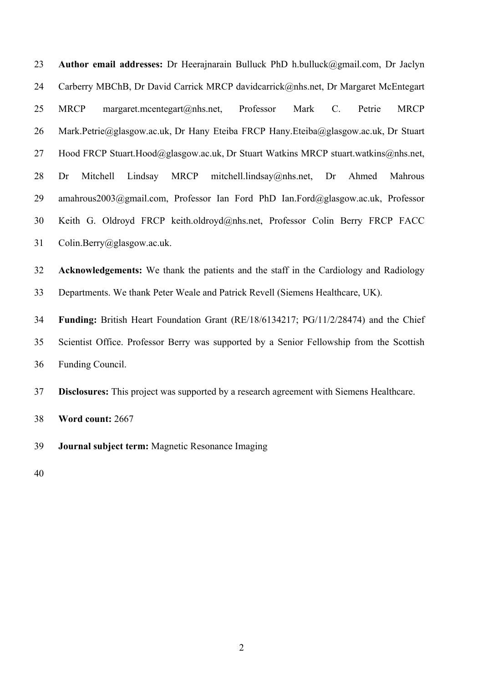**Author email addresses:** Dr Heerajnarain Bulluck PhD h.bulluck@gmail.com, Dr Jaclyn 24 Carberry MBChB, Dr David Carrick MRCP davidcarrick@nhs.net, Dr Margaret McEntegart MRCP margaret.mcentegart@nhs.net, Professor Mark C. Petrie MRCP 26 Mark.Petrie@glasgow.ac.uk, Dr Hany Eteiba FRCP Hany.Eteiba@glasgow.ac.uk, Dr Stuart 27 Hood FRCP Stuart.Hood@glasgow.ac.uk, Dr Stuart Watkins MRCP stuart.watkins@nhs.net, Dr Mitchell Lindsay MRCP mitchell.lindsay@nhs.net, Dr Ahmed Mahrous amahrous2003@gmail.com, Professor Ian Ford PhD Ian.Ford@glasgow.ac.uk, Professor Keith G. Oldroyd FRCP keith.oldroyd@nhs.net, Professor Colin Berry FRCP FACC Colin.Berry@glasgow.ac.uk.

 **Acknowledgements:** We thank the patients and the staff in the Cardiology and Radiology Departments. We thank Peter Weale and Patrick Revell (Siemens Healthcare, UK).

 **Funding:** British Heart Foundation Grant (RE/18/6134217; PG/11/2/28474) and the Chief Scientist Office. Professor Berry was supported by a Senior Fellowship from the Scottish Funding Council.

**Disclosures:** This project was supported by a research agreement with Siemens Healthcare.

**Word count:** 2667

**Journal subject term:** Magnetic Resonance Imaging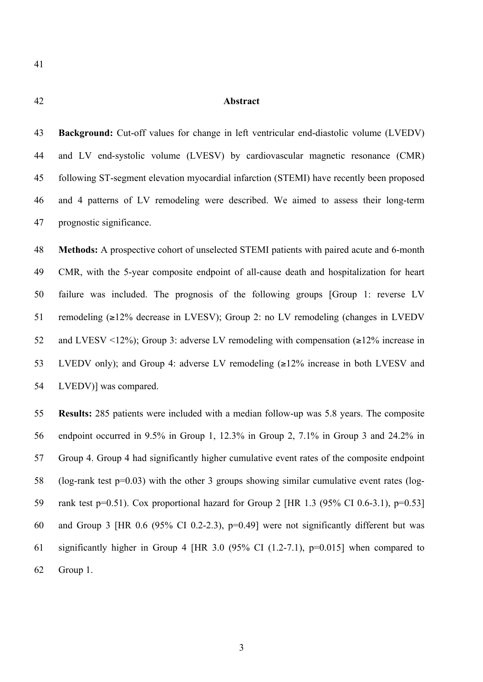# **Abstract**

 **Background:** Cut-off values for change in left ventricular end-diastolic volume (LVEDV) and LV end-systolic volume (LVESV) by cardiovascular magnetic resonance (CMR) following ST-segment elevation myocardial infarction (STEMI) have recently been proposed and 4 patterns of LV remodeling were described. We aimed to assess their long-term prognostic significance.

 **Methods:** A prospective cohort of unselected STEMI patients with paired acute and 6-month CMR, with the 5-year composite endpoint of all-cause death and hospitalization for heart failure was included. The prognosis of the following groups [Group 1: reverse LV remodeling (≥12% decrease in LVESV); Group 2: no LV remodeling (changes in LVEDV 52 and LVESV <12%); Group 3: adverse LV remodeling with compensation  $(\geq 12\%$  increase in LVEDV only); and Group 4: adverse LV remodeling (≥12% increase in both LVESV and LVEDV)] was compared.

 **Results:** 285 patients were included with a median follow-up was 5.8 years. The composite endpoint occurred in 9.5% in Group 1, 12.3% in Group 2, 7.1% in Group 3 and 24.2% in Group 4. Group 4 had significantly higher cumulative event rates of the composite endpoint (log-rank test p=0.03) with the other 3 groups showing similar cumulative event rates (log- rank test p=0.51). Cox proportional hazard for Group 2 [HR 1.3 (95% CI 0.6-3.1), p=0.53] and Group 3 [HR 0.6 (95% CI 0.2-2.3), p=0.49] were not significantly different but was significantly higher in Group 4 [HR 3.0 (95% CI (1.2-7.1), p=0.015] when compared to Group 1.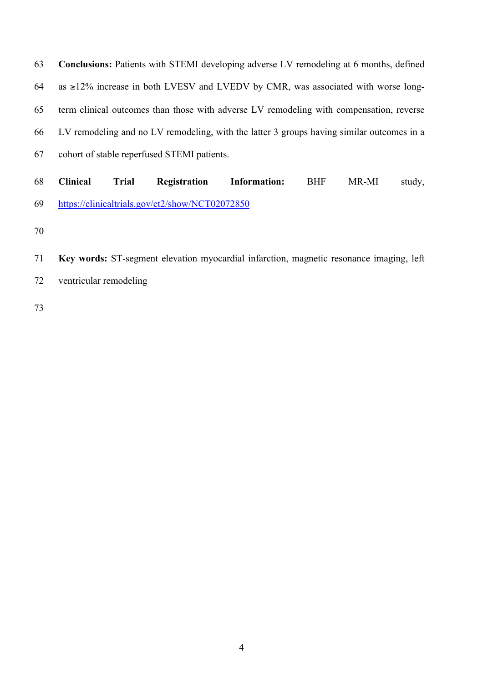**Conclusions:** Patients with STEMI developing adverse LV remodeling at 6 months, defined 64 as  $\geq$ 12% increase in both LVESV and LVEDV by CMR, was associated with worse long- term clinical outcomes than those with adverse LV remodeling with compensation, reverse LV remodeling and no LV remodeling, with the latter 3 groups having similar outcomes in a cohort of stable reperfused STEMI patients.

 **Clinical Trial Registration Information:** BHF MR-MI study, https://clinicaltrials.gov/ct2/show/NCT02072850

- 
- **Key words:** ST-segment elevation myocardial infarction, magnetic resonance imaging, left
- ventricular remodeling
-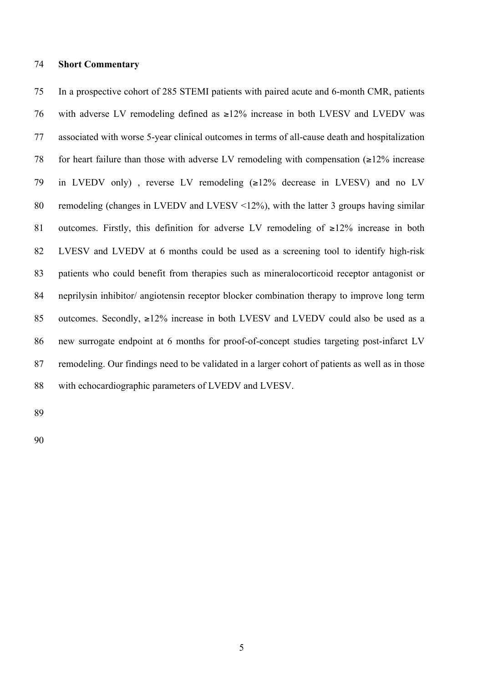#### **Short Commentary**

 In a prospective cohort of 285 STEMI patients with paired acute and 6-month CMR, patients with adverse LV remodeling defined as ≥12% increase in both LVESV and LVEDV was associated with worse 5-year clinical outcomes in terms of all-cause death and hospitalization 78 for heart failure than those with adverse LV remodeling with compensation  $\geq 12\%$  increase in LVEDV only) , reverse LV remodeling (≥12% decrease in LVESV) and no LV remodeling (changes in LVEDV and LVESV <12%), with the latter 3 groups having similar outcomes. Firstly, this definition for adverse LV remodeling of ≥12% increase in both LVESV and LVEDV at 6 months could be used as a screening tool to identify high-risk patients who could benefit from therapies such as mineralocorticoid receptor antagonist or neprilysin inhibitor/ angiotensin receptor blocker combination therapy to improve long term 85 outcomes. Secondly,  $\geq$ 12% increase in both LVESV and LVEDV could also be used as a new surrogate endpoint at 6 months for proof-of-concept studies targeting post-infarct LV remodeling. Our findings need to be validated in a larger cohort of patients as well as in those with echocardiographic parameters of LVEDV and LVESV.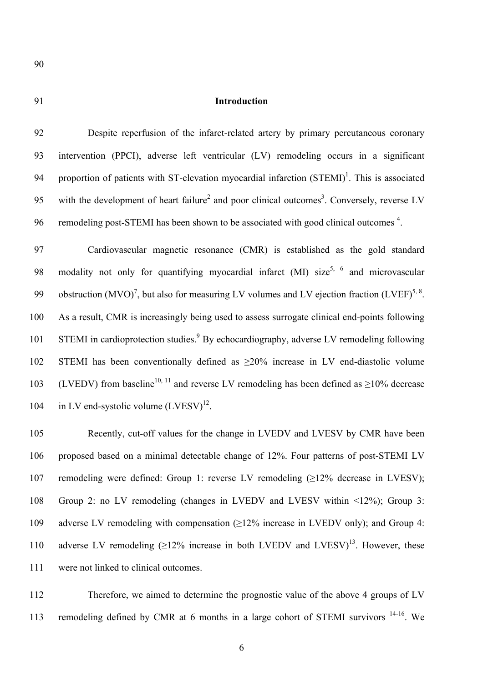# 91 **Introduction**

92 Despite reperfusion of the infarct-related artery by primary percutaneous coronary 93 intervention (PPCI), adverse left ventricular (LV) remodeling occurs in a significant 94 proportion of patients with ST-elevation myocardial infarction  $(STEMI)^1$ . This is associated 95 with the development of heart failure<sup>2</sup> and poor clinical outcomes<sup>3</sup>. Conversely, reverse LV 96 remodeling post-STEMI has been shown to be associated with good clinical outcomes <sup>4</sup>.

97 Cardiovascular magnetic resonance (CMR) is established as the gold standard 98 modality not only for quantifying myocardial infarct  $(MI)$  size<sup>5, 6</sup> and microvascular 99 obstruction (MVO)<sup>7</sup>, but also for measuring LV volumes and LV ejection fraction (LVEF)<sup>5, 8</sup>. 100 As a result, CMR is increasingly being used to assess surrogate clinical end-points following 101 STEMI in cardioprotection studies.<sup>9</sup> By echocardiography, adverse LV remodeling following 102 STEMI has been conventionally defined as  $\geq 20\%$  increase in LV end-diastolic volume 103 (LVEDV) from baseline<sup>10, 11</sup> and reverse LV remodeling has been defined as  $\geq$ 10% decrease 104 in LV end-systolic volume  $(LVESV)^{12}$ .

 Recently, cut-off values for the change in LVEDV and LVESV by CMR have been proposed based on a minimal detectable change of 12%. Four patterns of post-STEMI LV remodeling were defined: Group 1: reverse LV remodeling (≥12% decrease in LVESV); Group 2: no LV remodeling (changes in LVEDV and LVESV within <12%); Group 3: 109 adverse LV remodeling with compensation  $(\geq 12\%$  increase in LVEDV only); and Group 4: 110 adverse LV remodeling  $(>12\%$  increase in both LVEDV and LVESV)<sup>13</sup>. However, these were not linked to clinical outcomes.

112 Therefore, we aimed to determine the prognostic value of the above 4 groups of LV 113 remodeling defined by CMR at 6 months in a large cohort of STEMI survivors <sup>14-16</sup>. We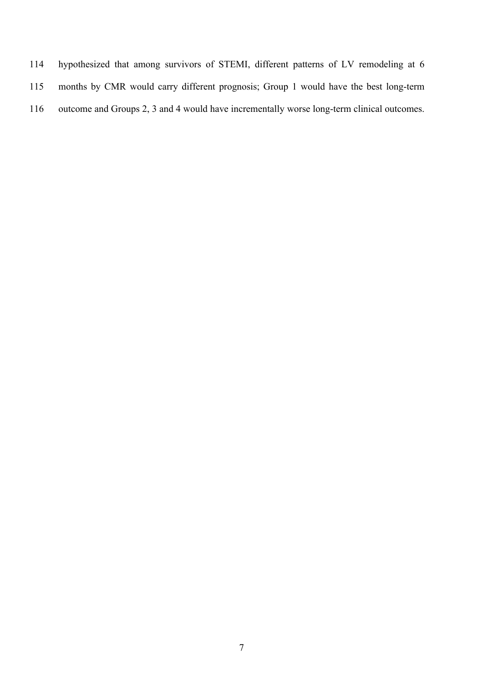- hypothesized that among survivors of STEMI, different patterns of LV remodeling at 6
- months by CMR would carry different prognosis; Group 1 would have the best long-term
- outcome and Groups 2, 3 and 4 would have incrementally worse long-term clinical outcomes.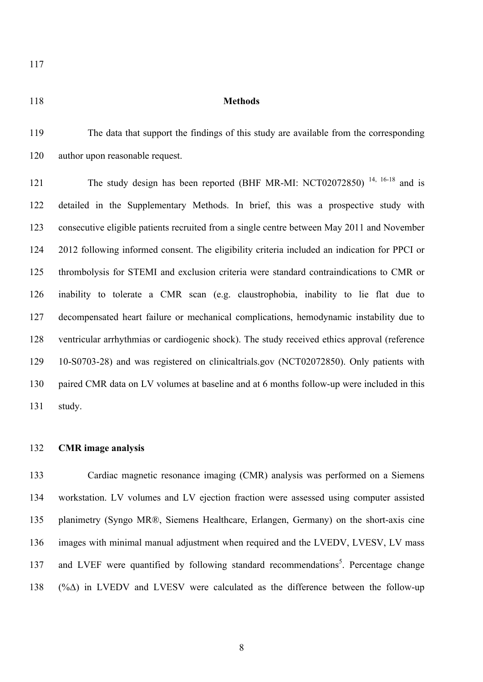#### **Methods**

 The data that support the findings of this study are available from the corresponding author upon reasonable request.

The study design has been reported (BHF MR-MI: NCT02072850)<sup>14, 16-18</sup> and is detailed in the Supplementary Methods. In brief, this was a prospective study with consecutive eligible patients recruited from a single centre between May 2011 and November 2012 following informed consent. The eligibility criteria included an indication for PPCI or thrombolysis for STEMI and exclusion criteria were standard contraindications to CMR or inability to tolerate a CMR scan (e.g. claustrophobia, inability to lie flat due to decompensated heart failure or mechanical complications, hemodynamic instability due to ventricular arrhythmias or cardiogenic shock). The study received ethics approval (reference 10-S0703-28) and was registered on clinicaltrials.gov (NCT02072850). Only patients with paired CMR data on LV volumes at baseline and at 6 months follow-up were included in this study.

### **CMR image analysis**

 Cardiac magnetic resonance imaging (CMR) analysis was performed on a Siemens workstation. LV volumes and LV ejection fraction were assessed using computer assisted planimetry (Syngo MR®, Siemens Healthcare, Erlangen, Germany) on the short-axis cine images with minimal manual adjustment when required and the LVEDV, LVESV, LV mass 137 and LVEF were quantified by following standard recommendations<sup>5</sup>. Percentage change 138 (% $\triangle$ ) in LVEDV and LVESV were calculated as the difference between the follow-up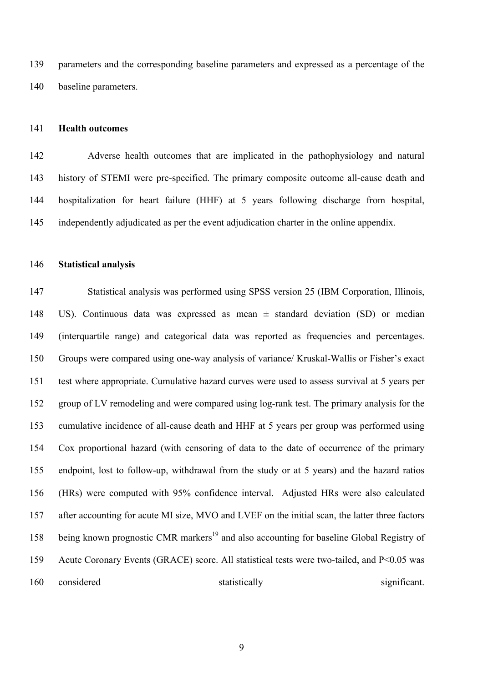parameters and the corresponding baseline parameters and expressed as a percentage of the baseline parameters.

### **Health outcomes**

 Adverse health outcomes that are implicated in the pathophysiology and natural history of STEMI were pre-specified. The primary composite outcome all-cause death and hospitalization for heart failure (HHF) at 5 years following discharge from hospital, independently adjudicated as per the event adjudication charter in the online appendix.

### **Statistical analysis**

 Statistical analysis was performed using SPSS version 25 (IBM Corporation, Illinois, US). Continuous data was expressed as mean ± standard deviation (SD) or median (interquartile range) and categorical data was reported as frequencies and percentages. Groups were compared using one-way analysis of variance/ Kruskal-Wallis or Fisher's exact test where appropriate. Cumulative hazard curves were used to assess survival at 5 years per group of LV remodeling and were compared using log-rank test. The primary analysis for the cumulative incidence of all-cause death and HHF at 5 years per group was performed using Cox proportional hazard (with censoring of data to the date of occurrence of the primary endpoint, lost to follow-up, withdrawal from the study or at 5 years) and the hazard ratios (HRs) were computed with 95% confidence interval. Adjusted HRs were also calculated after accounting for acute MI size, MVO and LVEF on the initial scan, the latter three factors 158 being known prognostic CMR markers<sup>19</sup> and also accounting for baseline Global Registry of Acute Coronary Events (GRACE) score. All statistical tests were two-tailed, and P<0.05 was 160 considered statistically statistically significant.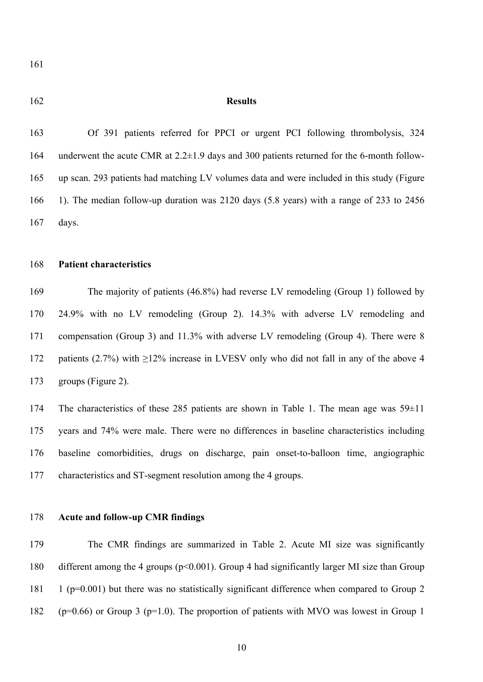#### **Results**

 Of 391 patients referred for PPCI or urgent PCI following thrombolysis, 324 underwent the acute CMR at 2.2±1.9 days and 300 patients returned for the 6-month follow- up scan. 293 patients had matching LV volumes data and were included in this study (Figure 1). The median follow-up duration was 2120 days (5.8 years) with a range of 233 to 2456 days.

# **Patient characteristics**

 The majority of patients (46.8%) had reverse LV remodeling (Group 1) followed by 24.9% with no LV remodeling (Group 2). 14.3% with adverse LV remodeling and compensation (Group 3) and 11.3% with adverse LV remodeling (Group 4). There were 8 172 patients (2.7%) with  $\geq$ 12% increase in LVESV only who did not fall in any of the above 4 groups (Figure 2).

 The characteristics of these 285 patients are shown in Table 1. The mean age was 59±11 years and 74% were male. There were no differences in baseline characteristics including baseline comorbidities, drugs on discharge, pain onset-to-balloon time, angiographic characteristics and ST-segment resolution among the 4 groups.

#### **Acute and follow-up CMR findings**

 The CMR findings are summarized in Table 2. Acute MI size was significantly different among the 4 groups (p<0.001). Group 4 had significantly larger MI size than Group 1 (p=0.001) but there was no statistically significant difference when compared to Group 2 182 ( $p=0.66$ ) or Group 3 ( $p=1.0$ ). The proportion of patients with MVO was lowest in Group 1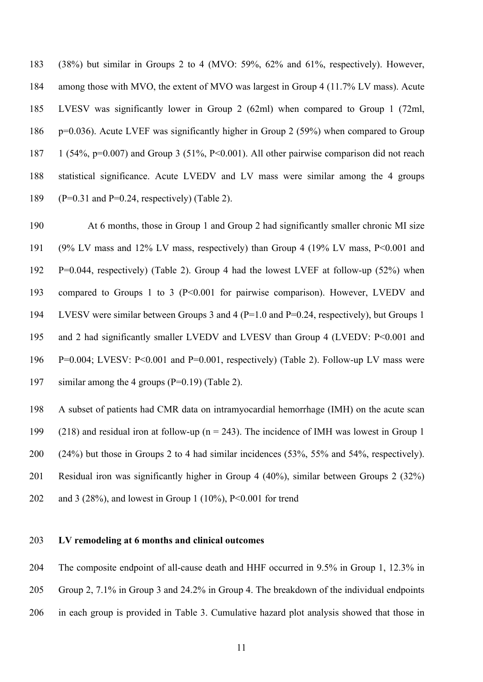(38%) but similar in Groups 2 to 4 (MVO: 59%, 62% and 61%, respectively). However, among those with MVO, the extent of MVO was largest in Group 4 (11.7% LV mass). Acute LVESV was significantly lower in Group 2 (62ml) when compared to Group 1 (72ml, p=0.036). Acute LVEF was significantly higher in Group 2 (59%) when compared to Group 1 (54%, p=0.007) and Group 3 (51%, P<0.001). All other pairwise comparison did not reach statistical significance. Acute LVEDV and LV mass were similar among the 4 groups 189 (P=0.31 and P=0.24, respectively) (Table 2).

 At 6 months, those in Group 1 and Group 2 had significantly smaller chronic MI size (9% LV mass and 12% LV mass, respectively) than Group 4 (19% LV mass, P<0.001 and P=0.044, respectively) (Table 2). Group 4 had the lowest LVEF at follow-up (52%) when compared to Groups 1 to 3 (P<0.001 for pairwise comparison). However, LVEDV and LVESV were similar between Groups 3 and 4 (P=1.0 and P=0.24, respectively), but Groups 1 195 and 2 had significantly smaller LVEDV and LVESV than Group 4 (LVEDV: P<0.001 and P=0.004; LVESV: P<0.001 and P=0.001, respectively) (Table 2). Follow-up LV mass were similar among the 4 groups (P=0.19) (Table 2).

 A subset of patients had CMR data on intramyocardial hemorrhage (IMH) on the acute scan (218) and residual iron at follow-up (n = 243). The incidence of IMH was lowest in Group 1 (24%) but those in Groups 2 to 4 had similar incidences (53%, 55% and 54%, respectively). Residual iron was significantly higher in Group 4 (40%), similar between Groups 2 (32%) and 3 (28%), and lowest in Group 1 (10%), P<0.001 for trend

# **LV remodeling at 6 months and clinical outcomes**

 The composite endpoint of all-cause death and HHF occurred in 9.5% in Group 1, 12.3% in Group 2, 7.1% in Group 3 and 24.2% in Group 4. The breakdown of the individual endpoints

in each group is provided in Table 3. Cumulative hazard plot analysis showed that those in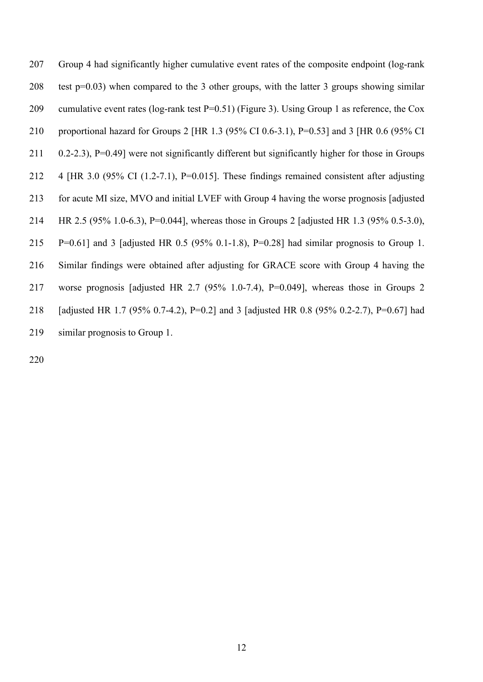Group 4 had significantly higher cumulative event rates of the composite endpoint (log-rank test p=0.03) when compared to the 3 other groups, with the latter 3 groups showing similar cumulative event rates (log-rank test P=0.51) (Figure 3). Using Group 1 as reference, the Cox proportional hazard for Groups 2 [HR 1.3 (95% CI 0.6-3.1), P=0.53] and 3 [HR 0.6 (95% CI 0.2-2.3), P=0.49] were not significantly different but significantly higher for those in Groups 4 [HR 3.0 (95% CI (1.2-7.1), P=0.015]. These findings remained consistent after adjusting for acute MI size, MVO and initial LVEF with Group 4 having the worse prognosis [adjusted HR 2.5 (95% 1.0-6.3), P=0.044], whereas those in Groups 2 [adjusted HR 1.3 (95% 0.5-3.0), P=0.61] and 3 [adjusted HR 0.5 (95% 0.1-1.8), P=0.28] had similar prognosis to Group 1. Similar findings were obtained after adjusting for GRACE score with Group 4 having the worse prognosis [adjusted HR 2.7 (95% 1.0-7.4), P=0.049], whereas those in Groups 2 [adjusted HR 1.7 (95% 0.7-4.2), P=0.2] and 3 [adjusted HR 0.8 (95% 0.2-2.7), P=0.67] had similar prognosis to Group 1.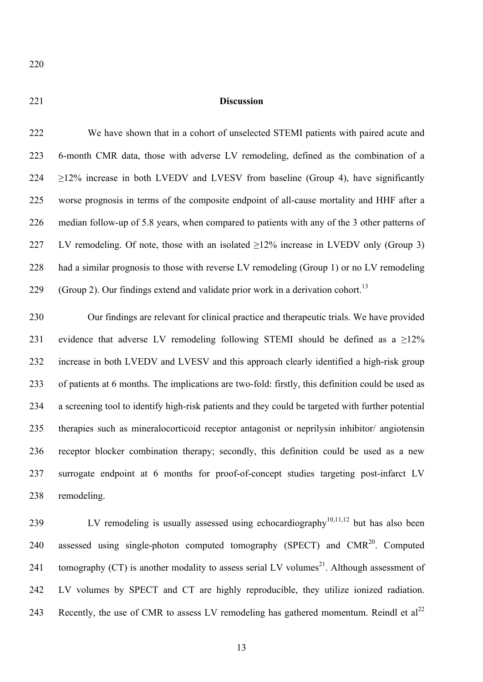#### **Discussion**

 We have shown that in a cohort of unselected STEMI patients with paired acute and 6-month CMR data, those with adverse LV remodeling, defined as the combination of a  $\geq$ 12% increase in both LVEDV and LVESV from baseline (Group 4), have significantly worse prognosis in terms of the composite endpoint of all-cause mortality and HHF after a median follow-up of 5.8 years, when compared to patients with any of the 3 other patterns of 227 LV remodeling. Of note, those with an isolated >12% increase in LVEDV only (Group 3) had a similar prognosis to those with reverse LV remodeling (Group 1) or no LV remodeling (Group 2). Our findings extend and validate prior work in a derivation cohort.<sup>13</sup>

 Our findings are relevant for clinical practice and therapeutic trials. We have provided 231 evidence that adverse LV remodeling following STEMI should be defined as a  $\geq$ 12% increase in both LVEDV and LVESV and this approach clearly identified a high-risk group of patients at 6 months. The implications are two-fold: firstly, this definition could be used as a screening tool to identify high-risk patients and they could be targeted with further potential therapies such as mineralocorticoid receptor antagonist or neprilysin inhibitor/ angiotensin receptor blocker combination therapy; secondly, this definition could be used as a new surrogate endpoint at 6 months for proof-of-concept studies targeting post-infarct LV remodeling.

239 LV remodeling is usually assessed using echocardiography<sup>10,11,12</sup> but has also been 240 assessed using single-photon computed tomography (SPECT) and  $CMR<sup>20</sup>$ . Computed 241 tomography (CT) is another modality to assess serial LV volumes<sup>21</sup>. Although assessment of LV volumes by SPECT and CT are highly reproducible, they utilize ionized radiation. 243 Recently, the use of CMR to assess LV remodeling has gathered momentum. Reindl et  $al^{22}$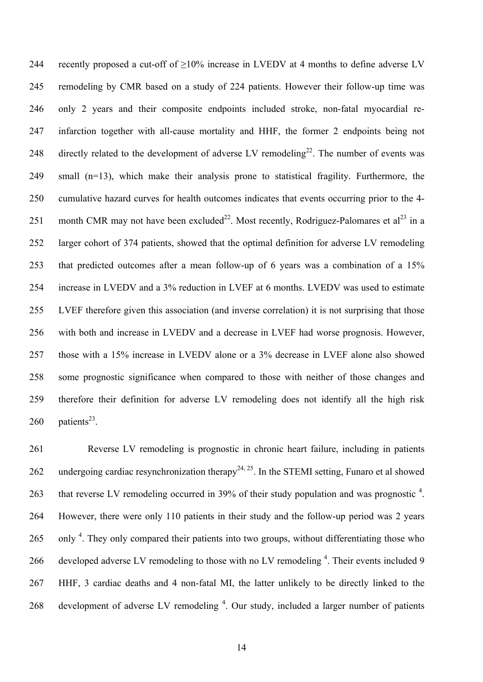244 recently proposed a cut-off of  $\geq$ 10% increase in LVEDV at 4 months to define adverse LV remodeling by CMR based on a study of 224 patients. However their follow-up time was only 2 years and their composite endpoints included stroke, non-fatal myocardial re- infarction together with all-cause mortality and HHF, the former 2 endpoints being not 248 directly related to the development of adverse LV remodeling<sup>22</sup>. The number of events was small (n=13), which make their analysis prone to statistical fragility. Furthermore, the cumulative hazard curves for health outcomes indicates that events occurring prior to the 4- 251 month CMR may not have been excluded<sup>22</sup>. Most recently, Rodriguez-Palomares et al<sup>23</sup> in a larger cohort of 374 patients, showed that the optimal definition for adverse LV remodeling that predicted outcomes after a mean follow-up of 6 years was a combination of a 15% increase in LVEDV and a 3% reduction in LVEF at 6 months. LVEDV was used to estimate LVEF therefore given this association (and inverse correlation) it is not surprising that those with both and increase in LVEDV and a decrease in LVEF had worse prognosis. However, those with a 15% increase in LVEDV alone or a 3% decrease in LVEF alone also showed some prognostic significance when compared to those with neither of those changes and therefore their definition for adverse LV remodeling does not identify all the high risk patients<sup>23</sup>.

 Reverse LV remodeling is prognostic in chronic heart failure, including in patients 262 undergoing cardiac resynchronization therapy<sup>24, 25</sup>. In the STEMI setting, Funaro et al showed 263 that reverse LV remodeling occurred in 39% of their study population and was prognostic . However, there were only 110 patients in their study and the follow-up period was 2 years only <sup>4</sup>. They only compared their patients into two groups, without differentiating those who 266 developed adverse LV remodeling to those with no LV remodeling . Their events included 9 HHF, 3 cardiac deaths and 4 non-fatal MI, the latter unlikely to be directly linked to the 268 development of adverse LV remodeling <sup>4</sup>. Our study, included a larger number of patients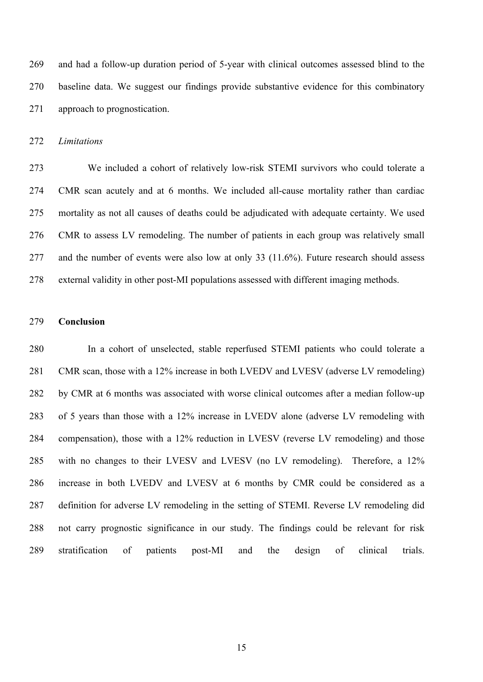and had a follow-up duration period of 5-year with clinical outcomes assessed blind to the baseline data. We suggest our findings provide substantive evidence for this combinatory approach to prognostication.

*Limitations*

 We included a cohort of relatively low-risk STEMI survivors who could tolerate a CMR scan acutely and at 6 months. We included all-cause mortality rather than cardiac mortality as not all causes of deaths could be adjudicated with adequate certainty. We used CMR to assess LV remodeling. The number of patients in each group was relatively small and the number of events were also low at only 33 (11.6%). Future research should assess external validity in other post-MI populations assessed with different imaging methods.

#### **Conclusion**

 In a cohort of unselected, stable reperfused STEMI patients who could tolerate a CMR scan, those with a 12% increase in both LVEDV and LVESV (adverse LV remodeling) by CMR at 6 months was associated with worse clinical outcomes after a median follow-up of 5 years than those with a 12% increase in LVEDV alone (adverse LV remodeling with compensation), those with a 12% reduction in LVESV (reverse LV remodeling) and those with no changes to their LVESV and LVESV (no LV remodeling). Therefore, a 12% increase in both LVEDV and LVESV at 6 months by CMR could be considered as a definition for adverse LV remodeling in the setting of STEMI. Reverse LV remodeling did not carry prognostic significance in our study. The findings could be relevant for risk stratification of patients post-MI and the design of clinical trials.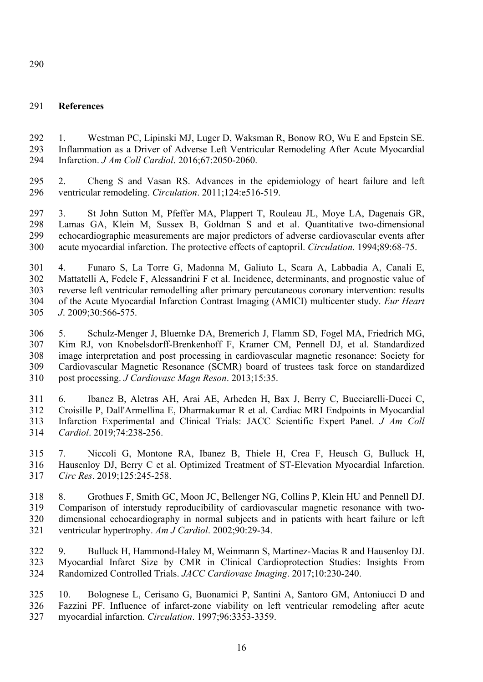# **References**

 1. Westman PC, Lipinski MJ, Luger D, Waksman R, Bonow RO, Wu E and Epstein SE. Inflammation as a Driver of Adverse Left Ventricular Remodeling After Acute Myocardial Infarction. *J Am Coll Cardiol*. 2016;67:2050-2060.

 2. Cheng S and Vasan RS. Advances in the epidemiology of heart failure and left ventricular remodeling. *Circulation*. 2011;124:e516-519.

 3. St John Sutton M, Pfeffer MA, Plappert T, Rouleau JL, Moye LA, Dagenais GR, Lamas GA, Klein M, Sussex B, Goldman S and et al. Quantitative two-dimensional echocardiographic measurements are major predictors of adverse cardiovascular events after acute myocardial infarction. The protective effects of captopril. *Circulation*. 1994;89:68-75.

 4. Funaro S, La Torre G, Madonna M, Galiuto L, Scara A, Labbadia A, Canali E, Mattatelli A, Fedele F, Alessandrini F et al. Incidence, determinants, and prognostic value of reverse left ventricular remodelling after primary percutaneous coronary intervention: results of the Acute Myocardial Infarction Contrast Imaging (AMICI) multicenter study. *Eur Heart J*. 2009;30:566-575.

 5. Schulz-Menger J, Bluemke DA, Bremerich J, Flamm SD, Fogel MA, Friedrich MG, Kim RJ, von Knobelsdorff-Brenkenhoff F, Kramer CM, Pennell DJ, et al. Standardized image interpretation and post processing in cardiovascular magnetic resonance: Society for Cardiovascular Magnetic Resonance (SCMR) board of trustees task force on standardized post processing. *J Cardiovasc Magn Reson*. 2013;15:35.

 6. Ibanez B, Aletras AH, Arai AE, Arheden H, Bax J, Berry C, Bucciarelli-Ducci C, Croisille P, Dall'Armellina E, Dharmakumar R et al. Cardiac MRI Endpoints in Myocardial Infarction Experimental and Clinical Trials: JACC Scientific Expert Panel. *J Am Coll Cardiol*. 2019;74:238-256.

 7. Niccoli G, Montone RA, Ibanez B, Thiele H, Crea F, Heusch G, Bulluck H, Hausenloy DJ, Berry C et al. Optimized Treatment of ST-Elevation Myocardial Infarction. *Circ Res*. 2019;125:245-258.

 8. Grothues F, Smith GC, Moon JC, Bellenger NG, Collins P, Klein HU and Pennell DJ. Comparison of interstudy reproducibility of cardiovascular magnetic resonance with two- dimensional echocardiography in normal subjects and in patients with heart failure or left ventricular hypertrophy. *Am J Cardiol*. 2002;90:29-34.

 9. Bulluck H, Hammond-Haley M, Weinmann S, Martinez-Macias R and Hausenloy DJ. Myocardial Infarct Size by CMR in Clinical Cardioprotection Studies: Insights From Randomized Controlled Trials. *JACC Cardiovasc Imaging*. 2017;10:230-240.

 10. Bolognese L, Cerisano G, Buonamici P, Santini A, Santoro GM, Antoniucci D and Fazzini PF. Influence of infarct-zone viability on left ventricular remodeling after acute myocardial infarction. *Circulation*. 1997;96:3353-3359.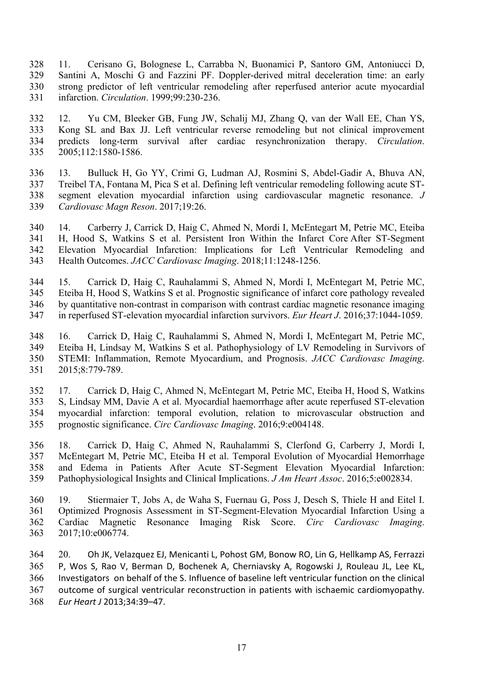11. Cerisano G, Bolognese L, Carrabba N, Buonamici P, Santoro GM, Antoniucci D, Santini A, Moschi G and Fazzini PF. Doppler-derived mitral deceleration time: an early strong predictor of left ventricular remodeling after reperfused anterior acute myocardial infarction. *Circulation*. 1999;99:230-236.

 12. Yu CM, Bleeker GB, Fung JW, Schalij MJ, Zhang Q, van der Wall EE, Chan YS, Kong SL and Bax JJ. Left ventricular reverse remodeling but not clinical improvement predicts long-term survival after cardiac resynchronization therapy. *Circulation*. 2005;112:1580-1586.

 13. Bulluck H, Go YY, Crimi G, Ludman AJ, Rosmini S, Abdel-Gadir A, Bhuva AN, Treibel TA, Fontana M, Pica S et al. Defining left ventricular remodeling following acute ST- segment elevation myocardial infarction using cardiovascular magnetic resonance. *J Cardiovasc Magn Reson*. 2017;19:26.

 14. Carberry J, Carrick D, Haig C, Ahmed N, Mordi I, McEntegart M, Petrie MC, Eteiba H, Hood S, Watkins S et al. Persistent Iron Within the Infarct Core After ST-Segment Elevation Myocardial Infarction: Implications for Left Ventricular Remodeling and Health Outcomes. *JACC Cardiovasc Imaging*. 2018;11:1248-1256.

 15. Carrick D, Haig C, Rauhalammi S, Ahmed N, Mordi I, McEntegart M, Petrie MC, Eteiba H, Hood S, Watkins S et al. Prognostic significance of infarct core pathology revealed by quantitative non-contrast in comparison with contrast cardiac magnetic resonance imaging in reperfused ST-elevation myocardial infarction survivors. *Eur Heart J*. 2016;37:1044-1059.

 16. Carrick D, Haig C, Rauhalammi S, Ahmed N, Mordi I, McEntegart M, Petrie MC, Eteiba H, Lindsay M, Watkins S et al. Pathophysiology of LV Remodeling in Survivors of STEMI: Inflammation, Remote Myocardium, and Prognosis. *JACC Cardiovasc Imaging*. 2015;8:779-789.

 17. Carrick D, Haig C, Ahmed N, McEntegart M, Petrie MC, Eteiba H, Hood S, Watkins S, Lindsay MM, Davie A et al. Myocardial haemorrhage after acute reperfused ST-elevation myocardial infarction: temporal evolution, relation to microvascular obstruction and prognostic significance. *Circ Cardiovasc Imaging*. 2016;9:e004148.

 18. Carrick D, Haig C, Ahmed N, Rauhalammi S, Clerfond G, Carberry J, Mordi I, McEntegart M, Petrie MC, Eteiba H et al. Temporal Evolution of Myocardial Hemorrhage and Edema in Patients After Acute ST-Segment Elevation Myocardial Infarction: Pathophysiological Insights and Clinical Implications. *J Am Heart Assoc*. 2016;5:e002834.

 19. Stiermaier T, Jobs A, de Waha S, Fuernau G, Poss J, Desch S, Thiele H and Eitel I. Optimized Prognosis Assessment in ST-Segment-Elevation Myocardial Infarction Using a Cardiac Magnetic Resonance Imaging Risk Score. *Circ Cardiovasc Imaging*. 2017;10:e006774.

364 20. Oh JK, Velazquez EJ, Menicanti L, Pohost GM, Bonow RO, Lin G, Hellkamp AS, Ferrazzi 365 P, Wos S, Rao V, Berman D, Bochenek A, Cherniavsky A, Rogowski J, Rouleau JL, Lee KL, 366 Investigators on behalf of the S. Influence of baseline left ventricular function on the clinical 367 outcome of surgical ventricular reconstruction in patients with ischaemic cardiomyopathy. *Eur Heart J* 2013;34:39–47.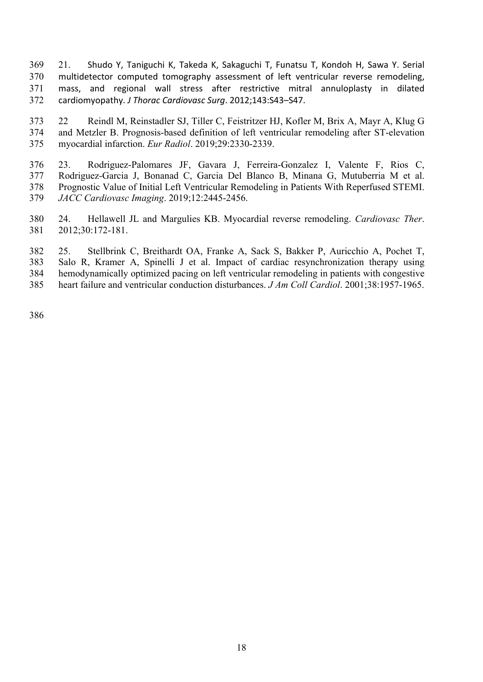- 369 21. Shudo Y, Taniguchi K, Takeda K, Sakaguchi T, Funatsu T, Kondoh H, Sawa Y. Serial 370 multidetector computed tomography assessment of left ventricular reverse remodeling, 371 mass, and regional wall stress after restrictive mitral annuloplasty in dilated 372 cardiomyopathy. *J Thorac Cardiovasc Surg*. 2012;143:S43-S47.
- 22 Reindl M, Reinstadler SJ, Tiller C, Feistritzer HJ, Kofler M, Brix A, Mayr A, Klug G and Metzler B. Prognosis-based definition of left ventricular remodeling after ST-elevation myocardial infarction. *Eur Radiol*. 2019;29:2330-2339.
- 23. Rodriguez-Palomares JF, Gavara J, Ferreira-Gonzalez I, Valente F, Rios C, Rodriguez-Garcia J, Bonanad C, Garcia Del Blanco B, Minana G, Mutuberria M et al. Prognostic Value of Initial Left Ventricular Remodeling in Patients With Reperfused STEMI. *JACC Cardiovasc Imaging*. 2019;12:2445-2456.
- 24. Hellawell JL and Margulies KB. Myocardial reverse remodeling. *Cardiovasc Ther*. 2012;30:172-181.
- 25. Stellbrink C, Breithardt OA, Franke A, Sack S, Bakker P, Auricchio A, Pochet T, Salo R, Kramer A, Spinelli J et al. Impact of cardiac resynchronization therapy using hemodynamically optimized pacing on left ventricular remodeling in patients with congestive heart failure and ventricular conduction disturbances. *J Am Coll Cardiol*. 2001;38:1957-1965.
-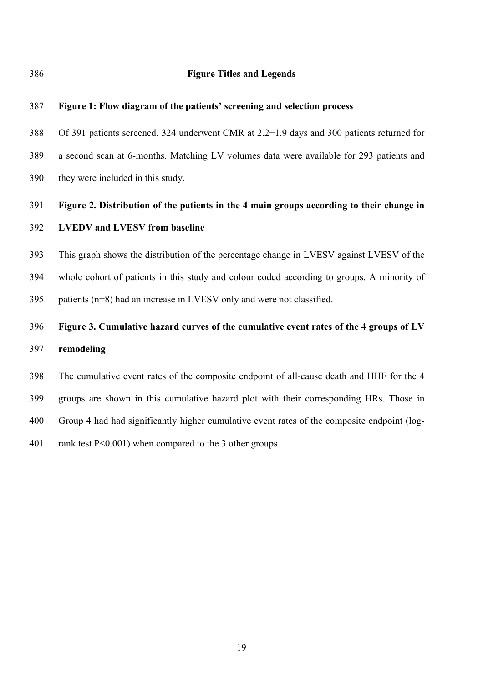**Figure Titles and Legends**

# **Figure 1: Flow diagram of the patients' screening and selection process**

 Of 391 patients screened, 324 underwent CMR at 2.2±1.9 days and 300 patients returned for a second scan at 6-months. Matching LV volumes data were available for 293 patients and they were included in this study.

# **Figure 2. Distribution of the patients in the 4 main groups according to their change in LVEDV and LVESV from baseline**

 This graph shows the distribution of the percentage change in LVESV against LVESV of the whole cohort of patients in this study and colour coded according to groups. A minority of patients (n=8) had an increase in LVESV only and were not classified.

# **Figure 3. Cumulative hazard curves of the cumulative event rates of the 4 groups of LV remodeling**

 The cumulative event rates of the composite endpoint of all-cause death and HHF for the 4 groups are shown in this cumulative hazard plot with their corresponding HRs. Those in Group 4 had had significantly higher cumulative event rates of the composite endpoint (log-rank test P<0.001) when compared to the 3 other groups.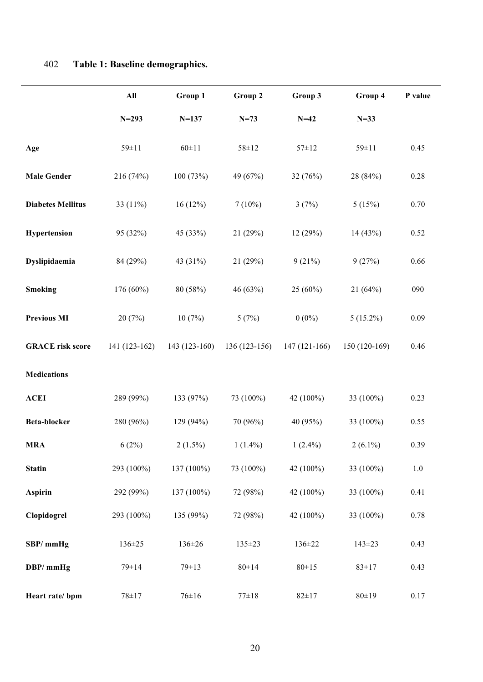|                          | $\mathbf{All}$ | Group 1        | Group 2       | Group 3        | Group 4       | P value |
|--------------------------|----------------|----------------|---------------|----------------|---------------|---------|
|                          | $N = 293$      | $N = 137$      | $N = 73$      | $N=42$         | $N=33$        |         |
| Age                      | 59±11          | $60 \pm 11$    | $58 \pm 12$   | $57 \pm 12$    | $59 \pm 11$   | 0.45    |
| <b>Male Gender</b>       | 216 (74%)      | 100 (73%)      | 49 (67%)      | 32 (76%)       | 28 (84%)      | 0.28    |
| <b>Diabetes Mellitus</b> | 33 (11%)       | 16(12%)        | $7(10\%)$     | 3(7%)          | 5(15%)        | 0.70    |
| Hypertension             | 95 (32%)       | 45 (33%)       | 21(29%)       | 12(29%)        | 14(43%)       | 0.52    |
| Dyslipidaemia            | 84 (29%)       | 43 (31%)       | 21(29%)       | 9(21%)         | 9(27%)        | 0.66    |
| <b>Smoking</b>           | $176(60\%)$    | 80 (58%)       | 46 (63%)      | $25(60\%)$     | 21(64%)       | 090     |
| <b>Previous MI</b>       | 20(7%)         | 10(7%)         | 5(7%)         | $0(0\%)$       | $5(15.2\%)$   | 0.09    |
| <b>GRACE</b> risk score  | 141 (123-162)  | $143(123-160)$ | 136 (123-156) | $147(121-166)$ | 150 (120-169) | 0.46    |
| <b>Medications</b>       |                |                |               |                |               |         |
| <b>ACEI</b>              | 289 (99%)      | 133 (97%)      | 73 (100%)     | 42 (100%)      | 33 (100%)     | 0.23    |
| Beta-blocker             | 280 (96%)      | 129 (94%)      | 70 (96%)      | 40 (95%)       | 33 (100%)     | 0.55    |
| <b>MRA</b>               | 6(2%)          | $2(1.5\%)$     | $1(1.4\%)$    | $1(2.4\%)$     | $2(6.1\%)$    | 0.39    |
| <b>Statin</b>            | 293 (100%)     | 137 (100%)     | 73 (100%)     | 42 (100%)      | 33 (100%)     | $1.0\,$ |
| Aspirin                  | 292 (99%)      | 137 (100%)     | 72 (98%)      | 42 (100%)      | 33 (100%)     | 0.41    |
| Clopidogrel              | 293 (100%)     | 135 (99%)      | 72 (98%)      | 42 (100%)      | 33 (100%)     | 0.78    |
| SBP/mmHg                 | 136±25         | $136 \pm 26$   | 135±23        | 136±22         | $143 \pm 23$  | 0.43    |
| DBP/mmHg                 | $79 \pm 14$    | $79 \pm 13$    | $80 \pm 14$   | $80 \pm 15$    | $83 \pm 17$   | 0.43    |
| Heart rate/ bpm          | $78 + 17$      | $76 \pm 16$    | $77 \pm 18$   | $82 \pm 17$    | 80±19         | 0.17    |

# 402 **Table 1: Baseline demographics.**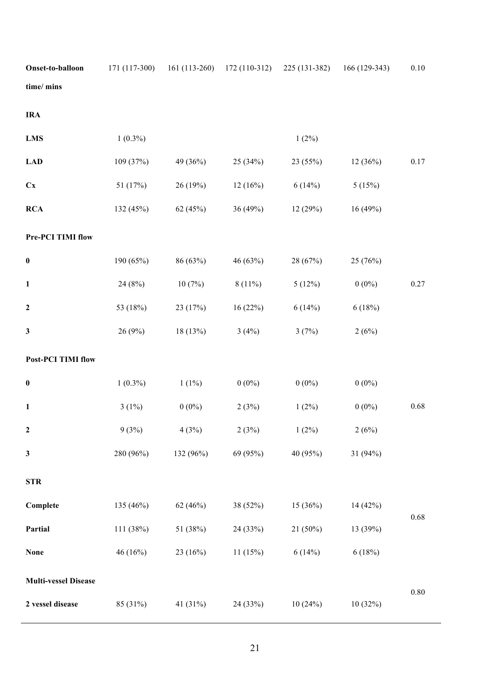| Onset-to-balloon            | 171 (117-300) | $161(113-260)$ | $172(110-312)$ | 225 (131-382) | 166 (129-343) | 0.10     |
|-----------------------------|---------------|----------------|----------------|---------------|---------------|----------|
| time/ mins                  |               |                |                |               |               |          |
| <b>IRA</b>                  |               |                |                |               |               |          |
| <b>LMS</b>                  | $1(0.3\%)$    |                |                | $1(2\%)$      |               |          |
| <b>LAD</b>                  | 109 (37%)     | 49 (36%)       | 25 (34%)       | 23 (55%)      | 12(36%)       | $0.17\,$ |
| Cx                          | 51 (17%)      | 26 (19%)       | 12(16%)        | 6(14%)        | 5(15%)        |          |
| <b>RCA</b>                  | 132 (45%)     | 62 (45%)       | 36 (49%)       | 12(29%)       | 16(49%)       |          |
| Pre-PCI TIMI flow           |               |                |                |               |               |          |
| $\pmb{0}$                   | 190 (65%)     | 86 (63%)       | 46 (63%)       | 28 (67%)      | 25 (76%)      |          |
| $\mathbf{1}$                | 24(8%)        | 10(7%)         | $8(11\%)$      | 5(12%)        | $0(0\%)$      | 0.27     |
| $\boldsymbol{2}$            | 53 (18%)      | 23 (17%)       | 16(22%)        | 6(14%)        | 6(18%)        |          |
| 3                           | 26 (9%)       | 18 (13%)       | 3(4%)          | 3(7%)         | 2(6%)         |          |
| <b>Post-PCI TIMI flow</b>   |               |                |                |               |               |          |
| $\boldsymbol{0}$            | $1(0.3\%)$    | $1(1\%)$       | $0(0\%)$       | $0(0\%)$      | $0(0\%)$      |          |
| $\mathbf{1}$                | $3(1\%)$      | $0(0\%)$       | 2(3%)          | $1(2\%)$      | $0(0\%)$      | 0.68     |
| $\mathbf 2$                 | 9(3%)         | 4(3%)          | 2(3%)          | $1(2\%)$      | 2(6%)         |          |
| 3                           | 280 (96%)     | 132 (96%)      | 69 (95%)       | 40 (95%)      | 31 (94%)      |          |
| <b>STR</b>                  |               |                |                |               |               |          |
| Complete                    | 135 (46%)     | 62(46%)        | 38 (52%)       | 15(36%)       | 14 (42%)      |          |
| Partial                     | 111 (38%)     | 51 (38%)       | 24 (33%)       | 21 (50%)      | 13 (39%)      | $0.68\,$ |
| None                        | 46 (16%)      | 23 (16%)       | 11(15%)        | 6(14%)        | 6(18%)        |          |
| <b>Multi-vessel Disease</b> |               |                |                |               |               |          |
| 2 vessel disease            | 85 (31%)      | 41 (31%)       | 24 (33%)       | 10(24%)       | 10(32%)       | $0.80\,$ |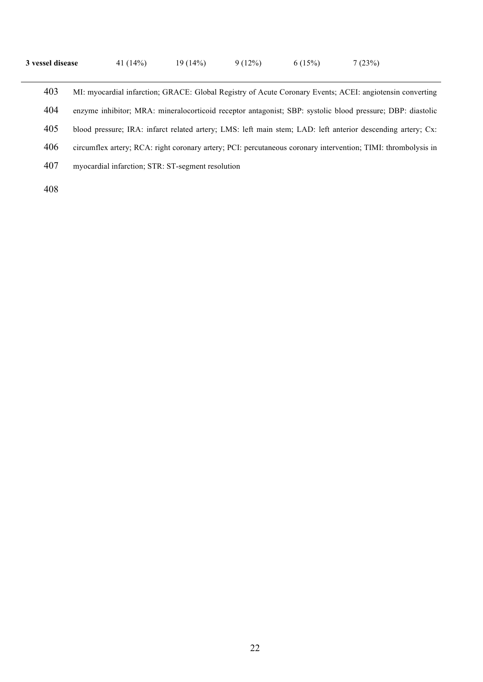| 3 vessel disease | 41 $(14\%)$ | 19 (14%) | 9(12%) | 6(15%) | 7(23%) |
|------------------|-------------|----------|--------|--------|--------|
|------------------|-------------|----------|--------|--------|--------|

 MI: myocardial infarction; GRACE: Global Registry of Acute Coronary Events; ACEI: angiotensin converting enzyme inhibitor; MRA: mineralocorticoid receptor antagonist; SBP: systolic blood pressure; DBP: diastolic blood pressure; IRA: infarct related artery; LMS: left main stem; LAD: left anterior descending artery; Cx: circumflex artery; RCA: right coronary artery; PCI: percutaneous coronary intervention; TIMI: thrombolysis in myocardial infarction; STR: ST-segment resolution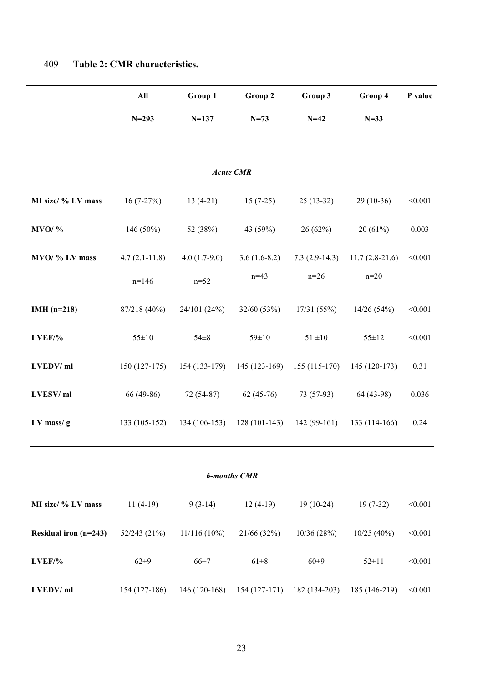|                       | All             | Group 1        | Group 2             | Group 3         | Group 4          | P value |
|-----------------------|-----------------|----------------|---------------------|-----------------|------------------|---------|
|                       | $N = 293$       | $N = 137$      | $N = 73$            | $N=42$          | $N=33$           |         |
|                       |                 |                |                     |                 |                  |         |
|                       |                 |                | <b>Acute CMR</b>    |                 |                  |         |
| MI size/ % LV mass    | $16(7-27%)$     | $13(4-21)$     | $15(7-25)$          | $25(13-32)$     | $29(10-36)$      | < 0.001 |
| $MVO/$ %              | 146 $(50\%)$    | 52 (38%)       | 43 (59%)            | 26(62%)         | 20(61%)          | 0.003   |
| MVO/ % LV mass        | $4.7(2.1-11.8)$ | $4.0(1.7-9.0)$ | $3.6(1.6-8.2)$      | $7.3(2.9-14.3)$ | $11.7(2.8-21.6)$ | < 0.001 |
|                       | $n=146$         | $n=52$         | $n=43$              | $n=26$          | $n=20$           |         |
| IMH $(n=218)$         | 87/218 (40%)    | 24/101 (24%)   | 32/60 (53%)         | 17/31(55%)      | 14/26(54%)       | < 0.001 |
| LVEF/%                | $55 \pm 10$     | $54 \pm 8$     | $59 \pm 10$         | $51 \pm 10$     | $55 \pm 12$      | < 0.001 |
| LVEDV/ml              | $150(127-175)$  | $154(133-179)$ | $145(123-169)$      | $155(115-170)$  | 145 (120-173)    | 0.31    |
| LVESV/ml              | 66 (49-86)      | 72 (54-87)     | $62(45-76)$         | 73 (57-93)      | 64 (43-98)       | 0.036   |
| $LV$ mass/ $g$        | 133 (105-152)   | 134 (106-153)  | $128(101-143)$      | $142(99-161)$   | 133 (114-166)    | 0.24    |
|                       |                 |                |                     |                 |                  |         |
|                       |                 |                | <b>6-months CMR</b> |                 |                  |         |
| MI size/ % LV mass    | $11(4-19)$      | $9(3-14)$      | $12(4-19)$          | $19(10-24)$     | $19(7-32)$       | < 0.001 |
| Residual iron (n=243) | 52/243 (21%)    | $11/116(10\%)$ | 21/66 (32%)         | 10/36(28%)      | 10/25(40%)       | < 0.001 |

# 409 **Table 2: CMR characteristics.**

**LVEDV/ ml** 154 (127-186) 146 (120-168) 154 (127-171) 182 (134-203) 185 (146-219) <0.001

**LVEF/%** 62±9 66±7 61±8 60±9 52±11 <0.001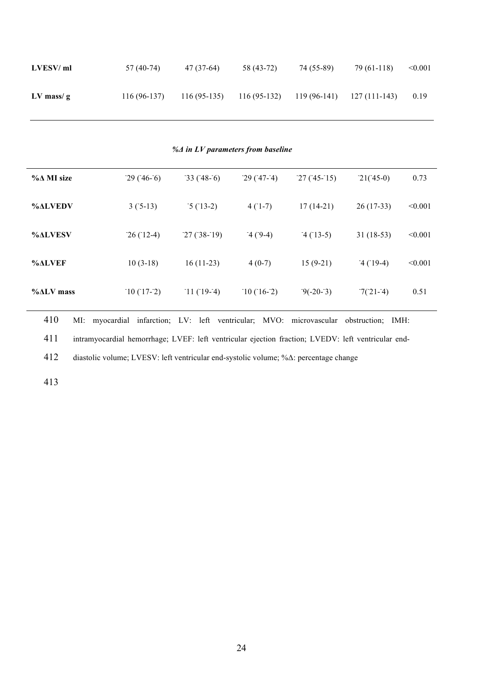| LVESV/ml    | 57 (40-74)    | 47 (37-64)    | 58 (43-72)    | 74 (55-89)   | 79 (61-118)   | < 0.001 |
|-------------|---------------|---------------|---------------|--------------|---------------|---------|
| $LV$ mass/g | $116(96-137)$ | $116(95-135)$ | $116(95-132)$ | 119 (96-141) | 127 (111-143) | 0.19    |

*%Δ in LV parameters from baseline*

| $\%$ $\Delta$ MI size | $-29(746-6)$ | $-33(748-6)$ | $-29(7-4)$  | $-27(3-15)$ | $-21(45-0)$ | 0.73    |
|-----------------------|--------------|--------------|-------------|-------------|-------------|---------|
| <b>%ALVEDV</b>        | $3(5-13)$    | $5(13-2)$    | $4(1-7)$    | $17(14-21)$ | $26(17-33)$ | < 0.001 |
| <b>%ALVESV</b>        | $-26(12-4)$  | $-27(38-19)$ | $-4(9-4)$   | $-4(13-5)$  | $31(18-53)$ | < 0.001 |
| %ALVER                | $10(3-18)$   | $16(11-23)$  | $4(0-7)$    | $15(9-21)$  | $-4(19-4)$  | < 0.001 |
| $\%ALV$ mass          | $10(17-2)$   | $-11(19-4)$  | $-10(16-2)$ | $-9(-20-3)$ | $7(21-4)$   | 0.51    |

410 MI: myocardial infarction; LV: left ventricular; MVO: microvascular obstruction; IMH: 411 intramyocardial hemorrhage; LVEF: left ventricular ejection fraction; LVEDV: left ventricular end-412 diastolic volume; LVESV: left ventricular end-systolic volume; %Δ: percentage change